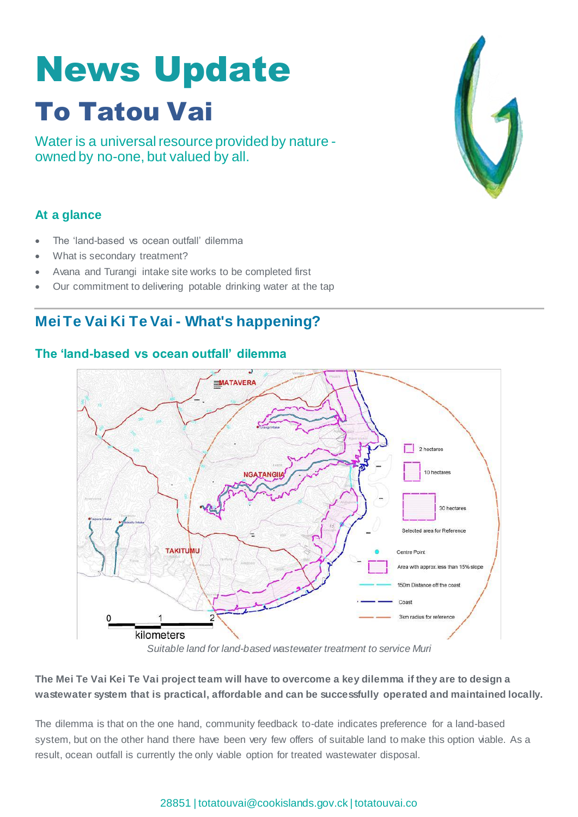# News Update To Tatou Vai

Water is a universal resource provided by nature owned by no-one, but valued by all.

# **At a glance**

- The 'land-based vs ocean outfall' dilemma
- What is secondary treatment?
- Avana and Turangi intake site works to be completed first
- Our commitment to delivering potable drinking water at the tap

# **Mei Te Vai Ki Te Vai - What's happening?**

## **The 'land-based vs ocean outfall' dilemma**



*Suitable land for land-based wastewater treatment to service Muri*

## **The Mei Te Vai Kei Te Vai project team will have to overcome a key dilemma if they are to design a wastewater system that is practical, affordable and can be successfully operated and maintained locally.**

The dilemma is that on the one hand, community feedback to-date indicates preference for a land-based system, but on the other hand there have been very few offers of suitable land to make this option viable. As a result, ocean outfall is currently the only viable option for treated wastewater disposal.

## 28851 | [totatouvai@cookislands.gov.ck](mailto:totatouvai@cookislands.gov.ck) | totatouvai.co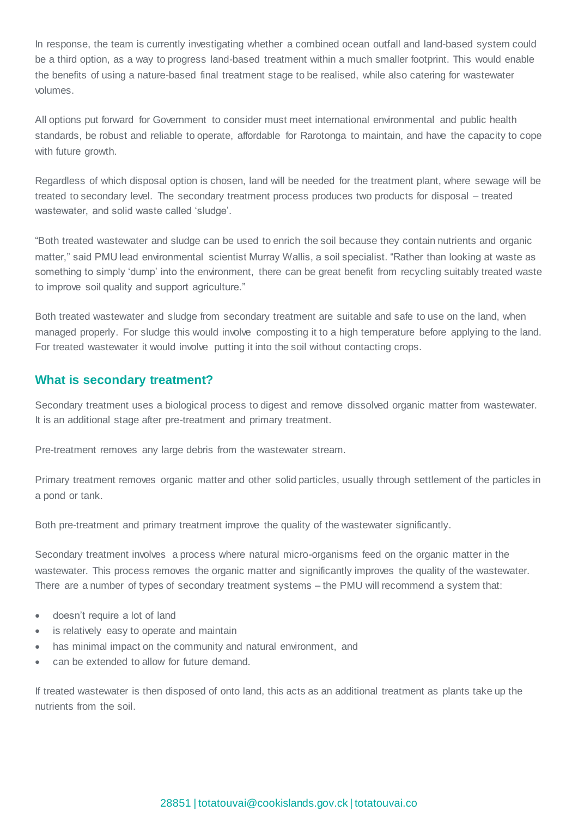In response, the team is currently investigating whether a combined ocean outfall and land-based system could be a third option, as a way to progress land-based treatment within a much smaller footprint. This would enable the benefits of using a nature-based final treatment stage to be realised, while also catering for wastewater volumes.

All options put forward for Government to consider must meet international environmental and public health standards, be robust and reliable to operate, affordable for Rarotonga to maintain, and have the capacity to cope with future growth.

Regardless of which disposal option is chosen, land will be needed for the treatment plant, where sewage will be treated to secondary level. The secondary treatment process produces two products for disposal – treated wastewater, and solid waste called 'sludge'.

"Both treated wastewater and sludge can be used to enrich the soil because they contain nutrients and organic matter," said PMU lead environmental scientist Murray Wallis, a soil specialist. "Rather than looking at waste as something to simply 'dump' into the environment, there can be great benefit from recycling suitably treated waste to improve soil quality and support agriculture."

Both treated wastewater and sludge from secondary treatment are suitable and safe to use on the land, when managed properly. For sludge this would involve composting it to a high temperature before applying to the land. For treated wastewater it would involve putting it into the soil without contacting crops.

### **What is secondary treatment?**

Secondary treatment uses a biological process to digest and remove dissolved organic matter from wastewater. It is an additional stage after pre-treatment and primary treatment.

Pre-treatment removes any large debris from the wastewater stream.

Primary treatment removes organic matter and other solid particles, usually through settlement of the particles in a pond or tank.

Both pre-treatment and primary treatment improve the quality of the wastewater significantly.

Secondary treatment involves a process where natural micro-organisms feed on the organic matter in the wastewater. This process removes the organic matter and significantly improves the quality of the wastewater. There are a number of types of secondary treatment systems – the PMU will recommend a system that:

- doesn't require a lot of land
- is relatively easy to operate and maintain
- has minimal impact on the community and natural environment, and
- can be extended to allow for future demand.

If treated wastewater is then disposed of onto land, this acts as an additional treatment as plants take up the nutrients from the soil.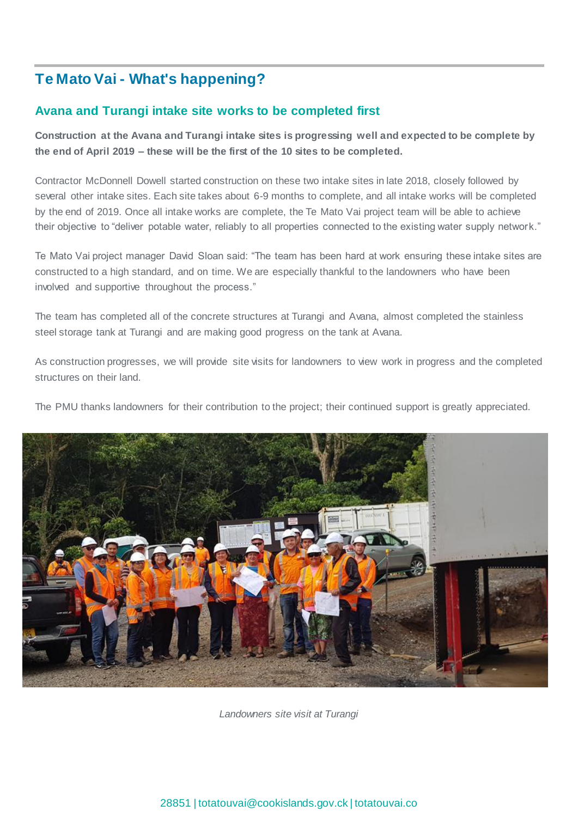# **Te Mato Vai - What's happening?**

## **Avana and Turangi intake site works to be completed first**

**Construction at the Avana and Turangi intake sites is progressing well and expected to be complete by the end of April 2019 – these will be the first of the 10 sites to be completed.**

Contractor McDonnell Dowell started construction on these two intake sites in late 2018, closely followed by several other intake sites. Each site takes about 6-9 months to complete, and all intake works will be completed by the end of 2019. Once all intake works are complete, the Te Mato Vai project team will be able to achieve their objective to "deliver potable water, reliably to all properties connected to the existing water supply network."

Te Mato Vai project manager David Sloan said: "The team has been hard at work ensuring these intake sites are constructed to a high standard, and on time. We are especially thankful to the landowners who have been involved and supportive throughout the process."

The team has completed all of the concrete structures at Turangi and Avana, almost completed the stainless steel storage tank at Turangi and are making good progress on the tank at Avana.

As construction progresses, we will provide site visits for landowners to view work in progress and the completed structures on their land.

The PMU thanks landowners for their contribution to the project; their continued support is greatly appreciated.



*Landowners site visit at Turangi*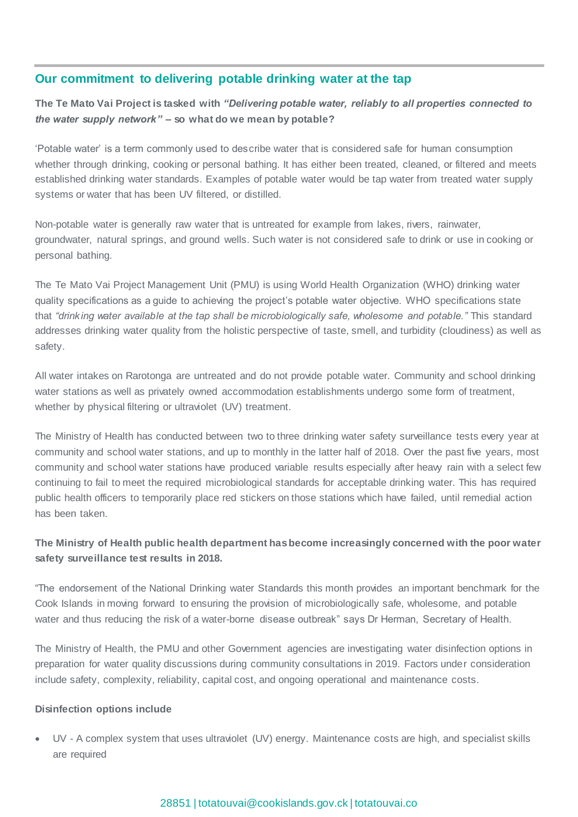## **Our commitment to delivering potable drinking water at the tap**

**The Te Mato Vai Project is tasked with** *"Delivering potable water, reliably to all properties connected to the water supply network"* **– so what do we mean by potable?**

'Potable water' is a term commonly used to describe water that is considered safe for human consumption whether through drinking, cooking or personal bathing. It has either been treated, cleaned, or filtered and meets established drinking water standards. Examples of potable water would be tap water from treated water supply systems or water that has been UV filtered, or distilled.

Non-potable water is generally raw water that is untreated for example from lakes, rivers, rainwater, groundwater, natural springs, and ground wells. Such water is not considered safe to drink or use in cooking or personal bathing.

The Te Mato Vai Project Management Unit (PMU) is using World Health Organization (WHO) drinking water quality specifications as a guide to achieving the project's potable water objective. WHO specifications state that *"drinking water available at the tap shall be microbiologically safe, wholesome and potable."* This standard addresses drinking water quality from the holistic perspective of taste, smell, and turbidity (cloudiness) as well as safety.

All water intakes on Rarotonga are untreated and do not provide potable water. Community and school drinking water stations as well as privately owned accommodation establishments undergo some form of treatment, whether by physical filtering or ultraviolet (UV) treatment.

The Ministry of Health has conducted between two to three drinking water safety surveillance tests every year at community and school water stations, and up to monthly in the latter half of 2018. Over the past five years, most community and school water stations have produced variable results especially after heavy rain with a select few continuing to fail to meet the required microbiological standards for acceptable drinking water. This has required public health officers to temporarily place red stickers on those stations which have failed, until remedial action has been taken.

## **The Ministry of Health public health department has become increasingly concerned with the poor water safety surveillance test results in 2018.**

"The endorsement of the National Drinking water Standards this month provides an important benchmark for the Cook Islands in moving forward to ensuring the provision of microbiologically safe, wholesome, and potable water and thus reducing the risk of a water-borne disease outbreak" says Dr Herman, Secretary of Health.

The Ministry of Health, the PMU and other Government agencies are investigating water disinfection options in preparation for water quality discussions during community consultations in 2019. Factors under consideration include safety, complexity, reliability, capital cost, and ongoing operational and maintenance costs.

#### **Disinfection options include**

 UV - A complex system that uses ultraviolet (UV) energy. Maintenance costs are high, and specialist skills are required

#### 28851 | [totatouvai@cookislands.gov.ck](mailto:totatouvai@cookislands.gov.ck) | totatouvai.co